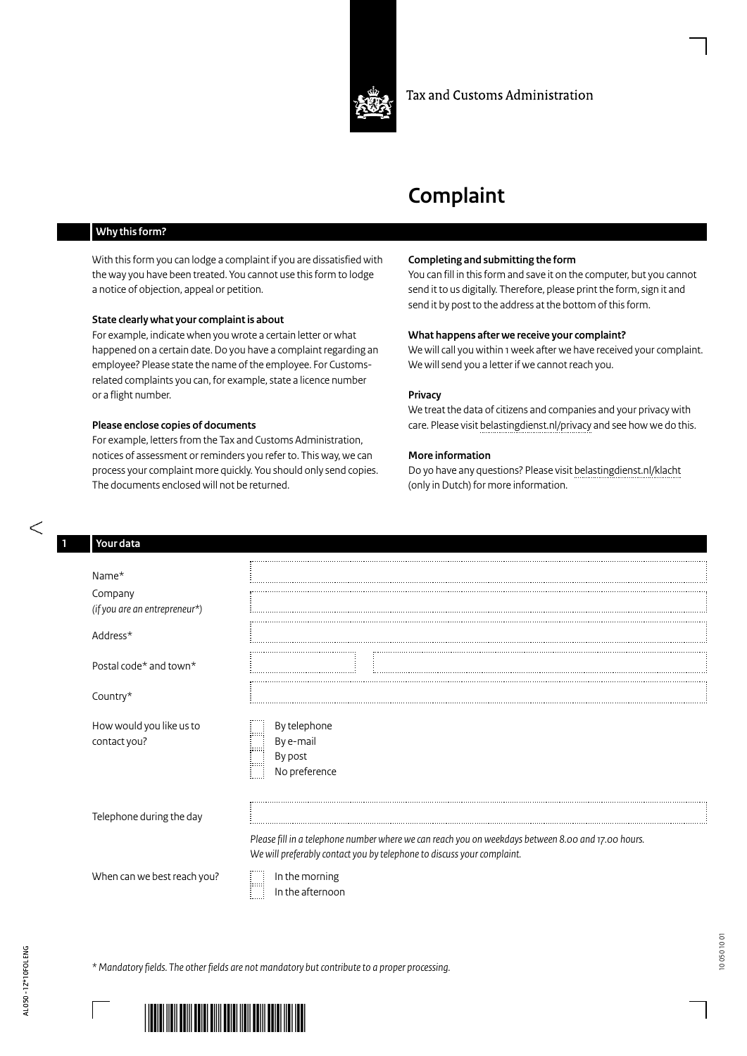

#### Tax and Customs Administration

# **Complaint**

### **Why this form?**

With this form you can lodge a complaint if you are dissatisfied with the way you have been treated. You cannot use this form to lodge a notice of objection, appeal or petition.

#### **State clearly what your complaint is about**

For example, indicate when you wrote a certain letter or what happened on a certain date. Do you have a complaint regarding an employee? Please state the name of the employee. For Customsrelated complaints you can, for example, state a licence number or a flight number.

#### **Please enclose copies of documents**

For example, letters from the Tax and Customs Administration, notices of assessment or reminders you refer to. This way, we can process your complaint more quickly. You should only send copies. The documents enclosed will not be returned.

#### **Completing and submitting the form**

You can fill in this form and save it on the computer, but you cannot send it to us digitally. Therefore, please print the form, sign it and send it by post to the address at the bottom of this form.

#### **What happens after we receive your complaint?**

We will call you within 1 week after we have received your complaint. We will send you a letter if we cannot reach you.

#### **Privacy**

We treat the data of citizens and companies and your privacy with care. Please visit [belastingdienst.nl/privacy](https://belastingdienst.nl/privacy) and see how we do this.

#### **More information**

Do yo have any questions? Please visit [belastingdienst.nl/klacht](https://belastingdienst.nl/klacht) (only in Dutch) for more information.

| Your data                                |                                                                                                                                                                              |
|------------------------------------------|------------------------------------------------------------------------------------------------------------------------------------------------------------------------------|
|                                          |                                                                                                                                                                              |
| Name*                                    |                                                                                                                                                                              |
| Company                                  |                                                                                                                                                                              |
| (if you are an entrepreneur*)            |                                                                                                                                                                              |
|                                          |                                                                                                                                                                              |
| Address*                                 |                                                                                                                                                                              |
|                                          |                                                                                                                                                                              |
| Postal code* and town*                   |                                                                                                                                                                              |
|                                          |                                                                                                                                                                              |
| Country*                                 |                                                                                                                                                                              |
| How would you like us to<br>contact you? | By telephone<br>By e-mail<br>By post<br>No preference                                                                                                                        |
| Telephone during the day                 |                                                                                                                                                                              |
|                                          | Please fill in a telephone number where we can reach you on weekdays between 8.00 and 17.00 hours.<br>We will preferably contact you by telephone to discuss your complaint. |
| When can we best reach you?              | In the morning<br>In the afternoor<br>In the afternoon                                                                                                                       |
|                                          |                                                                                                                                                                              |



سيسب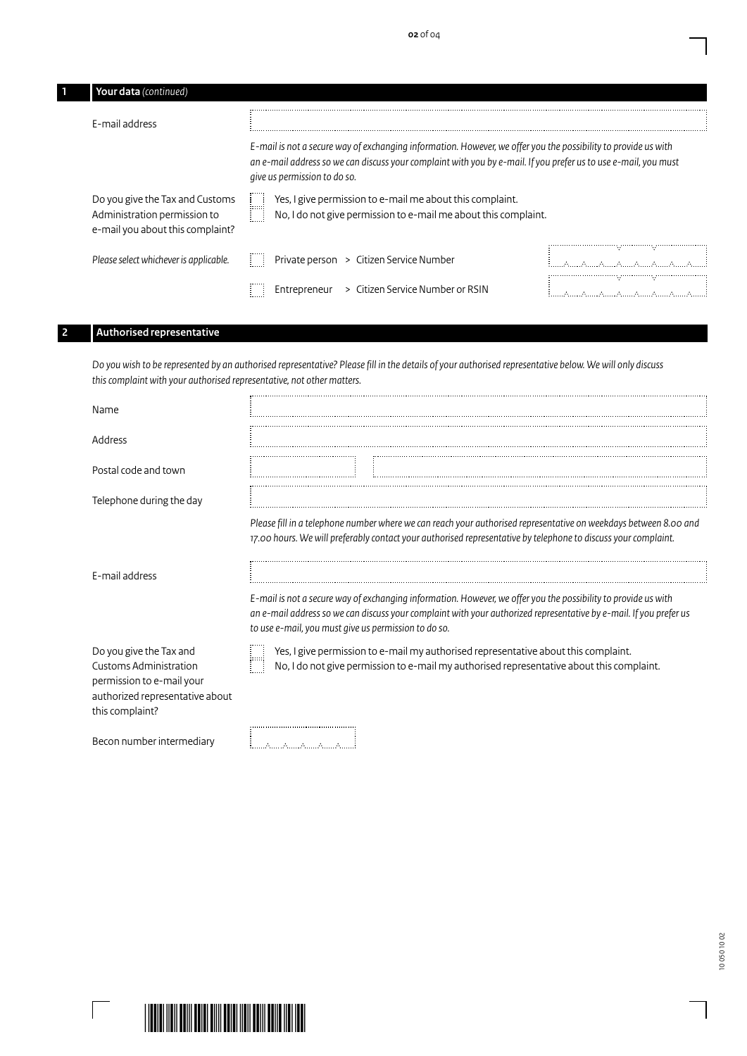| Your data (continued)                                                                               |                                                                                                                                                                                                                                                                   |  |
|-----------------------------------------------------------------------------------------------------|-------------------------------------------------------------------------------------------------------------------------------------------------------------------------------------------------------------------------------------------------------------------|--|
| E-mail address                                                                                      |                                                                                                                                                                                                                                                                   |  |
|                                                                                                     | E-mail is not a secure way of exchanging information. However, we offer you the possibility to provide us with<br>an e-mail address so we can discuss your complaint with you by e-mail. If you prefer us to use e-mail, you must<br>give us permission to do so. |  |
| Do you give the Tax and Customs<br>Administration permission to<br>e-mail you about this complaint? | Yes, I give permission to e-mail me about this complaint.<br>H<br>No, I do not give permission to e-mail me about this complaint.                                                                                                                                 |  |
| Please select whichever is applicable.                                                              | Private person > Citizen Service Number<br>Φł<br>ユース・ユース しょうようはっぽう                                                                                                                                                                                                |  |
|                                                                                                     | - 95<br>n e<br>> Citizen Service Number or RSIN<br>Entrepreneur                                                                                                                                                                                                   |  |

## **2 Authorised representative**

*Do you wish to be represented by an authorised representative? Please fill in the details of your authorised representative below. We will only discuss thiscomplaint with your authorised representative, not other matters.*

| Name                                                                                                                                 |                                                                                                                                                                                                                                                                                                                                                                                                                                                                                                                                    |
|--------------------------------------------------------------------------------------------------------------------------------------|------------------------------------------------------------------------------------------------------------------------------------------------------------------------------------------------------------------------------------------------------------------------------------------------------------------------------------------------------------------------------------------------------------------------------------------------------------------------------------------------------------------------------------|
| Address                                                                                                                              |                                                                                                                                                                                                                                                                                                                                                                                                                                                                                                                                    |
| Postal code and town                                                                                                                 |                                                                                                                                                                                                                                                                                                                                                                                                                                                                                                                                    |
| Telephone during the day                                                                                                             |                                                                                                                                                                                                                                                                                                                                                                                                                                                                                                                                    |
| E-mail address                                                                                                                       | Please fill in a telephone number where we can reach your authorised representative on weekdays between 8.00 and<br>17.00 hours. We will preferably contact your authorised representative by telephone to discuss your complaint.<br>E-mail is not a secure way of exchanging information. However, we offer you the possibility to provide us with<br>an e-mail address so we can discuss your complaint with your authorized representative by e-mail. If you prefer us<br>to use e-mail, you must give us permission to do so. |
| Do you give the Tax and<br>Customs Administration<br>permission to e-mail your<br>authorized representative about<br>this complaint? | Yes, I give permission to e-mail my authorised representative about this complaint.<br>No, I do not give permission to e-mail my authorised representative about this complaint.                                                                                                                                                                                                                                                                                                                                                   |
| Becon number intermediary                                                                                                            |                                                                                                                                                                                                                                                                                                                                                                                                                                                                                                                                    |

 $\overline{\phantom{0}}$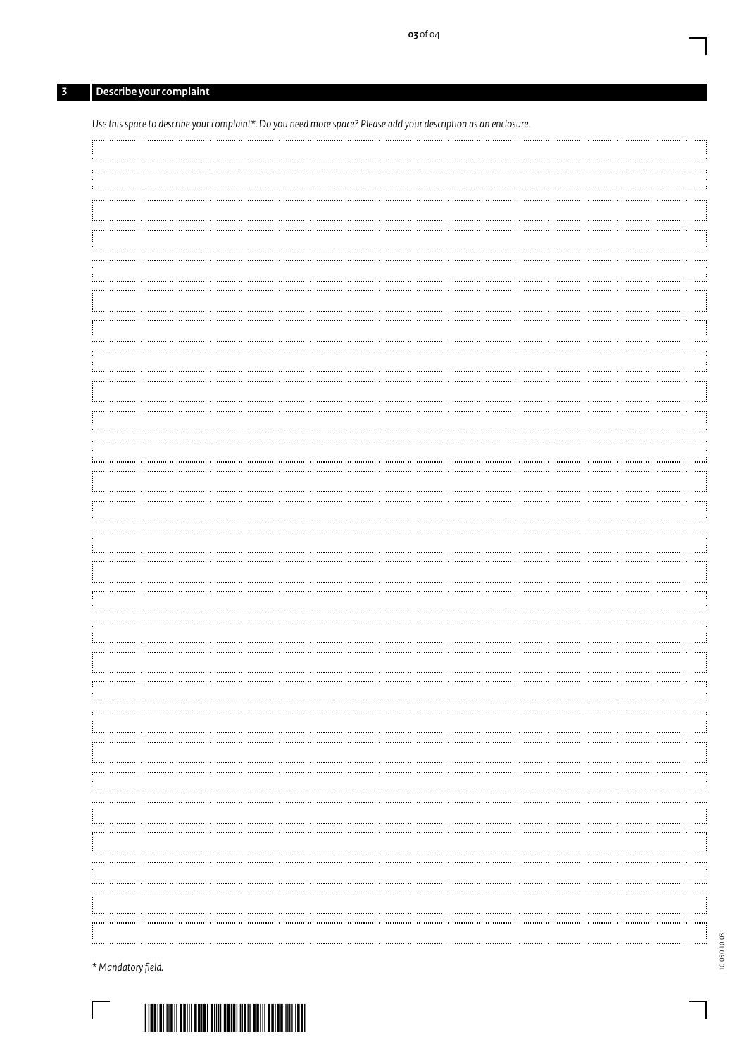# **3 Describe your complaint**

| Use this space to describe your complaint*. Do you need more space? Please add your description as an enclosure. |  |
|------------------------------------------------------------------------------------------------------------------|--|
|                                                                                                                  |  |
|                                                                                                                  |  |
|                                                                                                                  |  |
|                                                                                                                  |  |
|                                                                                                                  |  |
|                                                                                                                  |  |
|                                                                                                                  |  |
|                                                                                                                  |  |
|                                                                                                                  |  |
|                                                                                                                  |  |
|                                                                                                                  |  |
|                                                                                                                  |  |
|                                                                                                                  |  |
|                                                                                                                  |  |
|                                                                                                                  |  |
|                                                                                                                  |  |
|                                                                                                                  |  |
|                                                                                                                  |  |
|                                                                                                                  |  |
|                                                                                                                  |  |
|                                                                                                                  |  |
|                                                                                                                  |  |
|                                                                                                                  |  |
|                                                                                                                  |  |
|                                                                                                                  |  |
|                                                                                                                  |  |
|                                                                                                                  |  |
|                                                                                                                  |  |
|                                                                                                                  |  |
|                                                                                                                  |  |
|                                                                                                                  |  |
|                                                                                                                  |  |
|                                                                                                                  |  |
|                                                                                                                  |  |
|                                                                                                                  |  |
|                                                                                                                  |  |

*\* Mandatory field.*

 $\overline{\phantom{a}}$